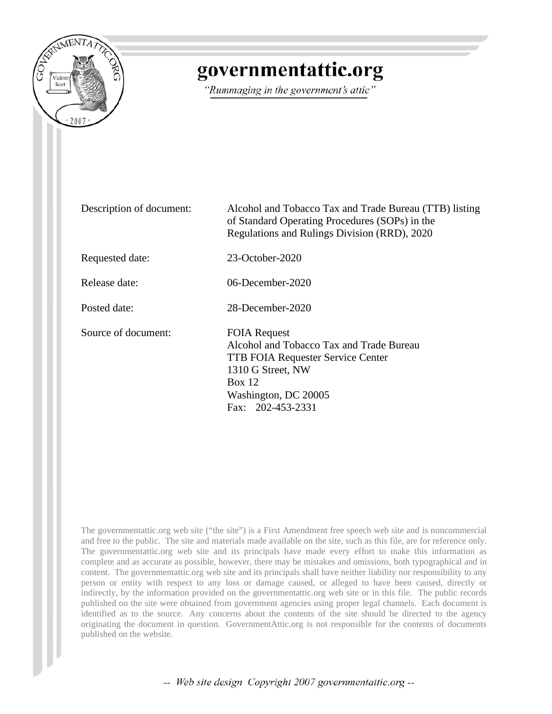

## governmentattic.org

"Rummaging in the government's attic"

Description of document: Alcohol and Tobacco Tax and Trade Bureau (TTB) listing of Standard Operating Procedures (SOPs) in the Regulations and Rulings Division (RRD), 2020 Requested date: 23-October-2020 Release date: 06-December-2020 Posted date: 28-December-2020 Source of document: FOIA Request Alcohol and Tobacco Tax and Trade Bureau TTB FOIA Requester Service Center 1310 G Street, NW Box 12 Washington, DC 20005 Fax: 202-453-2331

The governmentattic.org web site ("the site") is a First Amendment free speech web site and is noncommercial and free to the public. The site and materials made available on the site, such as this file, are for reference only. The governmentattic.org web site and its principals have made every effort to make this information as complete and as accurate as possible, however, there may be mistakes and omissions, both typographical and in content. The governmentattic.org web site and its principals shall have neither liability nor responsibility to any person or entity with respect to any loss or damage caused, or alleged to have been caused, directly or indirectly, by the information provided on the governmentattic.org web site or in this file. The public records published on the site were obtained from government agencies using proper legal channels. Each document is identified as to the source. Any concerns about the contents of the site should be directed to the agency originating the document in question. GovernmentAttic.org is not responsible for the contents of documents published on the website.

-- Web site design Copyright 2007 governmentattic.org --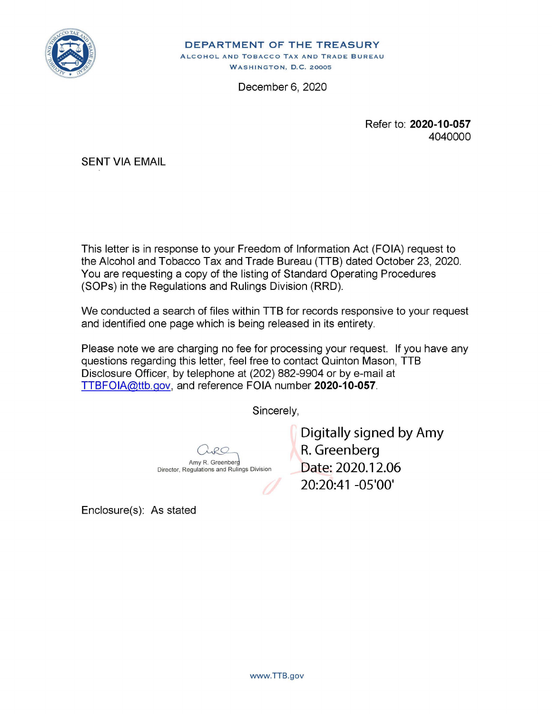

**DEPARTMENT OF THE TREASURY**  ALCOHOL AND TOBACCO TAX AND TRADE BUREAU WASHINGTON, D.C. 20005

December 6, 2020

Refer to: **2020-10-057**  4040000

SENT VIA EMAIL

This letter is in response to your Freedom of Information Act (FOIA) request to the Alcohol and Tobacco Tax and Trade Bureau (TTB) dated October 23, 2020. You are requesting a copy of the listing of Standard Operating Procedures (SOPs) in the Regulations and Rulings Division (RRD).

We conducted a search of files within TTB for records responsive to your request and identified one page which is being released in its entirety.

Please note we are charging no fee for processing your request. If you have any questions regarding this letter, feel free to contact Quinton Mason, TTB Disclosure Officer, by telephone at (202) 882-9904 or by e-mail at TTBFOIA@ttb.gov, and reference FOIA number **2020-10-057.** 

Sincerely,

Amy R. Greenber Director, Regulations and Rulings Division Digitally signed by Amy R. Greenberg Date: 2020.12.06 20:20:41 -05'00'

Enclosure(s): As stated